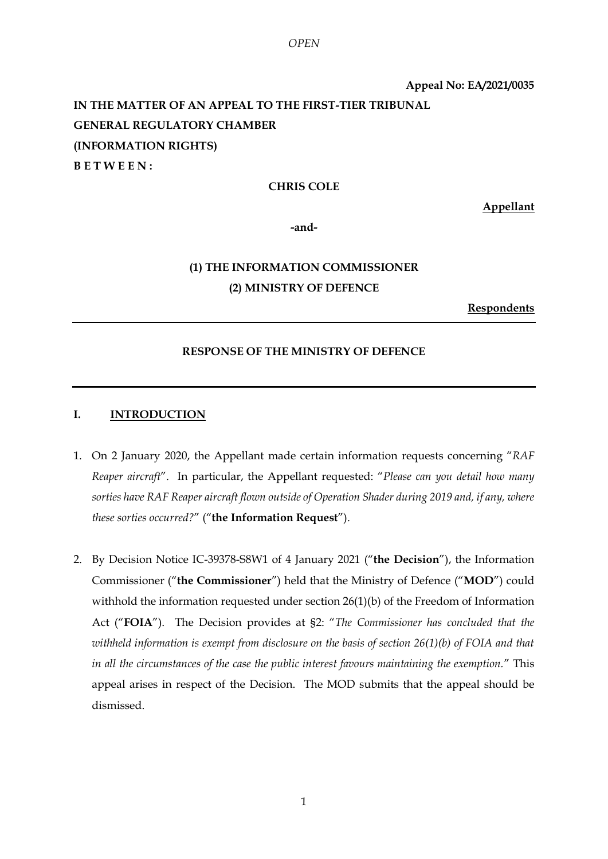**Appeal No: EA/2021/0035 IN THE MATTER OF AN APPEAL TO THE FIRST-TIER TRIBUNAL GENERAL REGULATORY CHAMBER (INFORMATION RIGHTS) B E T W E E N :**

#### **CHRIS COLE**

**Appellant**

**-and-**

## **(1) THE INFORMATION COMMISSIONER (2) MINISTRY OF DEFENCE**

**Respondents**

#### **RESPONSE OF THE MINISTRY OF DEFENCE**

#### **I. INTRODUCTION**

- 1. On 2 January 2020, the Appellant made certain information requests concerning "*RAF Reaper aircraft*". In particular, the Appellant requested: "*Please can you detail how many sorties have RAF Reaper aircraft flown outside of Operation Shader during 2019 and, if any, where these sorties occurred?*" ("**the Information Request**").
- 2. By Decision Notice IC-39378-S8W1 of 4 January 2021 ("**the Decision**"), the Information Commissioner ("**the Commissioner**") held that the Ministry of Defence ("**MOD**") could withhold the information requested under section 26(1)(b) of the Freedom of Information Act ("**FOIA**"). The Decision provides at §2: "*The Commissioner has concluded that the withheld information is exempt from disclosure on the basis of section 26(1)(b) of FOIA and that in all the circumstances of the case the public interest favours maintaining the exemption.*" This appeal arises in respect of the Decision. The MOD submits that the appeal should be dismissed.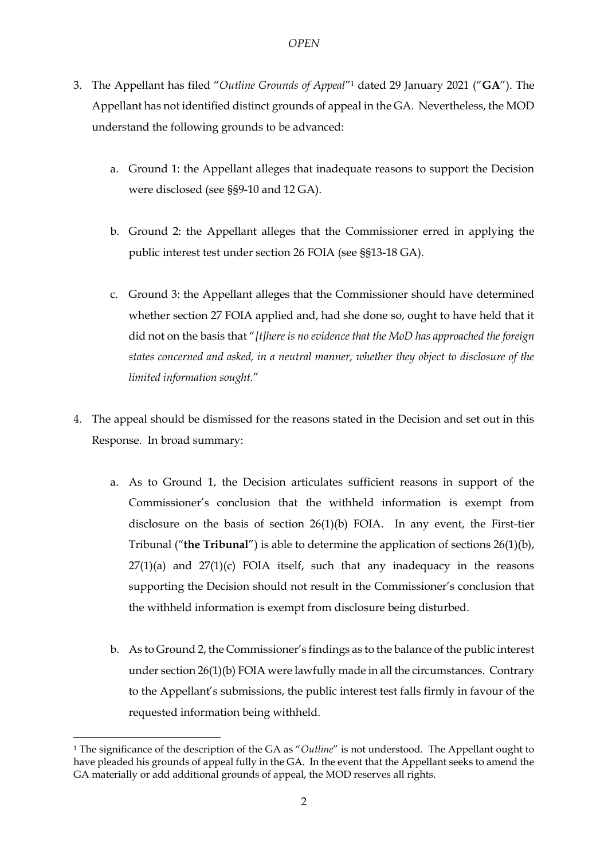- 3. The Appellant has filed "*Outline Grounds of Appeal*"<sup>1</sup> dated 29 January 2021 ("**GA**"). The Appellant has not identified distinct grounds of appeal in the GA. Nevertheless, the MOD understand the following grounds to be advanced:
	- a. Ground 1: the Appellant alleges that inadequate reasons to support the Decision were disclosed (see §§9-10 and 12 GA).
	- b. Ground 2: the Appellant alleges that the Commissioner erred in applying the public interest test under section 26 FOIA (see §§13-18 GA).
	- c. Ground 3: the Appellant alleges that the Commissioner should have determined whether section 27 FOIA applied and, had she done so, ought to have held that it did not on the basis that "*[t]here is no evidence that the MoD has approached the foreign states concerned and asked, in a neutral manner, whether they object to disclosure of the limited information sought.*"
- 4. The appeal should be dismissed for the reasons stated in the Decision and set out in this Response. In broad summary:
	- a. As to Ground 1, the Decision articulates sufficient reasons in support of the Commissioner's conclusion that the withheld information is exempt from disclosure on the basis of section 26(1)(b) FOIA. In any event, the First-tier Tribunal ("**the Tribunal**") is able to determine the application of sections 26(1)(b),  $27(1)(a)$  and  $27(1)(c)$  FOIA itself, such that any inadequacy in the reasons supporting the Decision should not result in the Commissioner's conclusion that the withheld information is exempt from disclosure being disturbed.
	- b. As to Ground 2, the Commissioner's findings as to the balance of the public interest under section 26(1)(b) FOIA were lawfully made in all the circumstances. Contrary to the Appellant's submissions, the public interest test falls firmly in favour of the requested information being withheld.

-

<sup>1</sup> The significance of the description of the GA as "*Outline*" is not understood. The Appellant ought to have pleaded his grounds of appeal fully in the GA. In the event that the Appellant seeks to amend the GA materially or add additional grounds of appeal, the MOD reserves all rights.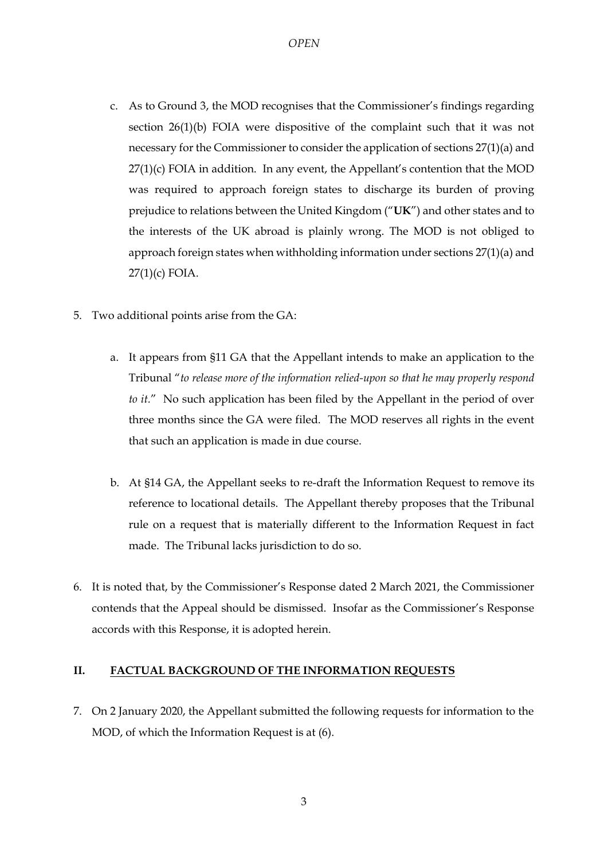- c. As to Ground 3, the MOD recognises that the Commissioner's findings regarding section 26(1)(b) FOIA were dispositive of the complaint such that it was not necessary for the Commissioner to consider the application of sections 27(1)(a) and  $27(1)(c)$  FOIA in addition. In any event, the Appellant's contention that the MOD was required to approach foreign states to discharge its burden of proving prejudice to relations between the United Kingdom ("**UK**") and other states and to the interests of the UK abroad is plainly wrong. The MOD is not obliged to approach foreign states when withholding information under sections 27(1)(a) and 27(1)(c) FOIA.
- 5. Two additional points arise from the GA:
	- a. It appears from §11 GA that the Appellant intends to make an application to the Tribunal "*to release more of the information relied-upon so that he may properly respond to it.*" No such application has been filed by the Appellant in the period of over three months since the GA were filed. The MOD reserves all rights in the event that such an application is made in due course.
	- b. At §14 GA, the Appellant seeks to re-draft the Information Request to remove its reference to locational details. The Appellant thereby proposes that the Tribunal rule on a request that is materially different to the Information Request in fact made. The Tribunal lacks jurisdiction to do so.
- <span id="page-2-0"></span>6. It is noted that, by the Commissioner's Response dated 2 March 2021, the Commissioner contends that the Appeal should be dismissed. Insofar as the Commissioner's Response accords with this Response, it is adopted herein.

## **II. FACTUAL BACKGROUND OF THE INFORMATION REQUESTS**

7. On 2 January 2020, the Appellant submitted the following requests for information to the MOD, of which the Information Request is at (6).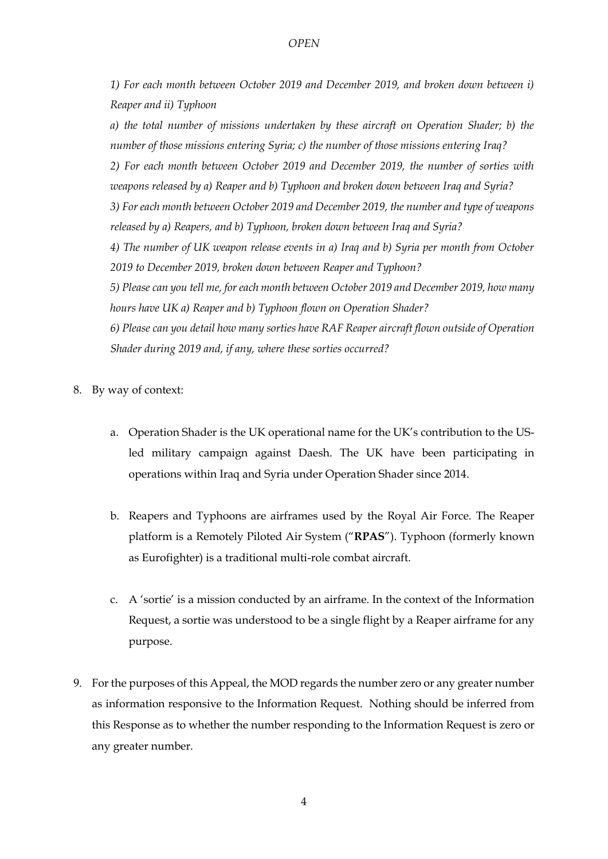*1) For each month between October 2019 and December 2019, and broken down between i) Reaper and ii) Typhoon*

*a) the total number of missions undertaken by these aircraft on Operation Shader; b) the number of those missions entering Syria; c) the number of those missions entering Iraq? 2) For each month between October 2019 and December 2019, the number of sorties with weapons released by a) Reaper and b) Typhoon and broken down between Iraq and Syria? 3) For each month between October 2019 and December 2019, the number and type of weapons released by a) Reapers, and b) Typhoon, broken down between Iraq and Syria? 4) The number of UK weapon release events in a) Iraq and b) Syria per month from October 2019 to December 2019, broken down between Reaper and Typhoon? 5) Please can you tell me, for each month between October 2019 and December 2019, how many hours have UK a) Reaper and b) Typhoon flown on Operation Shader? 6) Please can you detail how many sorties have RAF Reaper aircraft flown outside of Operation Shader during 2019 and, if any, where these sorties occurred?*

- 8. By way of context:
	- a. Operation Shader is the UK operational name for the UK's contribution to the USled military campaign against Daesh. The UK have been participating in operations within Iraq and Syria under Operation Shader since 2014.
	- b. Reapers and Typhoons are airframes used by the Royal Air Force. The Reaper platform is a Remotely Piloted Air System ("**RPAS**"). Typhoon (formerly known as Eurofighter) is a traditional multi-role combat aircraft.
	- c. A 'sortie' is a mission conducted by an airframe. In the context of the Information Request, a sortie was understood to be a single flight by a Reaper airframe for any purpose.
- <span id="page-3-0"></span>9. For the purposes of this Appeal, the MOD regards the number zero or any greater number as information responsive to the Information Request. Nothing should be inferred from this Response as to whether the number responding to the Information Request is zero or any greater number.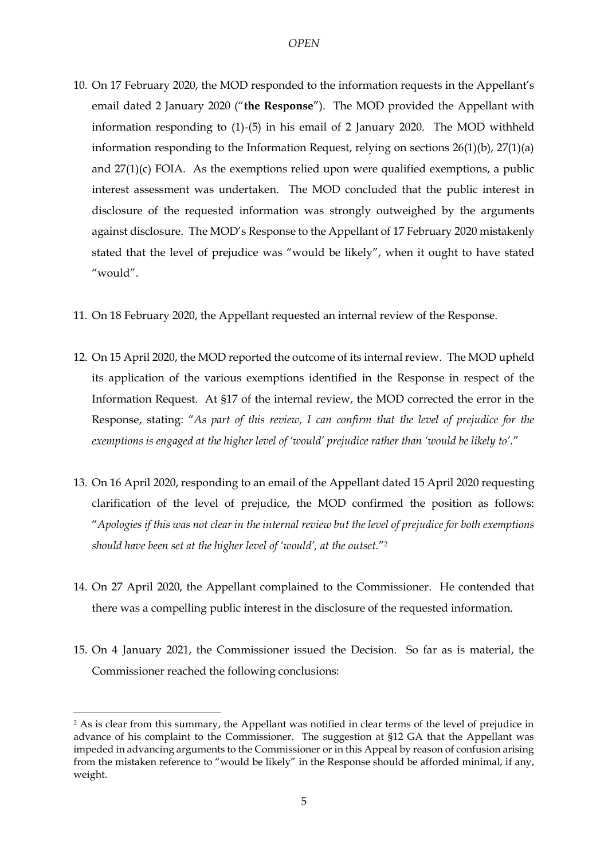- 10. On 17 February 2020, the MOD responded to the information requests in the Appellant's email dated 2 January 2020 ("**the Response**"). The MOD provided the Appellant with information responding to (1)-(5) in his email of 2 January 2020. The MOD withheld information responding to the Information Request, relying on sections 26(1)(b), 27(1)(a) and 27(1)(c) FOIA. As the exemptions relied upon were qualified exemptions, a public interest assessment was undertaken. The MOD concluded that the public interest in disclosure of the requested information was strongly outweighed by the arguments against disclosure. The MOD's Response to the Appellant of 17 February 2020 mistakenly stated that the level of prejudice was "would be likely", when it ought to have stated "would".
- 11. On 18 February 2020, the Appellant requested an internal review of the Response.
- 12. On 15 April 2020, the MOD reported the outcome of its internal review. The MOD upheld its application of the various exemptions identified in the Response in respect of the Information Request. At §17 of the internal review, the MOD corrected the error in the Response, stating: "*As part of this review, I can confirm that the level of prejudice for the exemptions is engaged at the higher level of 'would' prejudice rather than 'would be likely to'.*"
- 13. On 16 April 2020, responding to an email of the Appellant dated 15 April 2020 requesting clarification of the level of prejudice, the MOD confirmed the position as follows: "*Apologies if this was not clear in the internal review but the level of prejudice for both exemptions should have been set at the higher level of 'would', at the outset.*"<sup>2</sup>
- 14. On 27 April 2020, the Appellant complained to the Commissioner. He contended that there was a compelling public interest in the disclosure of the requested information.
- 15. On 4 January 2021, the Commissioner issued the Decision. So far as is material, the Commissioner reached the following conclusions:

-

<sup>2</sup> As is clear from this summary, the Appellant was notified in clear terms of the level of prejudice in advance of his complaint to the Commissioner. The suggestion at §12 GA that the Appellant was impeded in advancing arguments to the Commissioner or in this Appeal by reason of confusion arising from the mistaken reference to "would be likely" in the Response should be afforded minimal, if any, weight.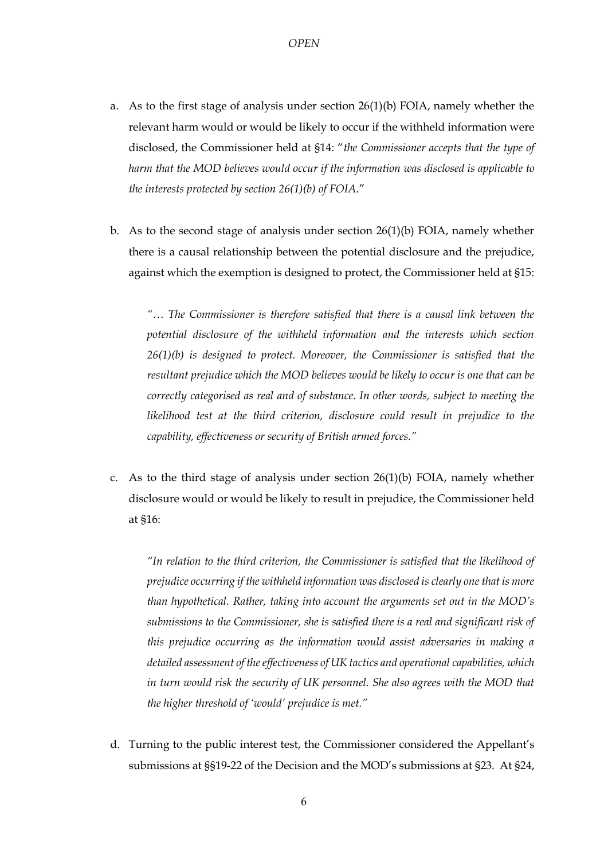- a. As to the first stage of analysis under section 26(1)(b) FOIA, namely whether the relevant harm would or would be likely to occur if the withheld information were disclosed, the Commissioner held at §14: "*the Commissioner accepts that the type of harm that the MOD believes would occur if the information was disclosed is applicable to the interests protected by section 26(1)(b) of FOIA.*"
- b. As to the second stage of analysis under section 26(1)(b) FOIA, namely whether there is a causal relationship between the potential disclosure and the prejudice, against which the exemption is designed to protect, the Commissioner held at §15:

*"… The Commissioner is therefore satisfied that there is a causal link between the potential disclosure of the withheld information and the interests which section 26(1)(b) is designed to protect. Moreover, the Commissioner is satisfied that the resultant prejudice which the MOD believes would be likely to occur is one that can be correctly categorised as real and of substance. In other words, subject to meeting the*  likelihood test at the third criterion, disclosure could result in prejudice to the *capability, effectiveness or security of British armed forces."*

c. As to the third stage of analysis under section  $26(1)(b)$  FOIA, namely whether disclosure would or would be likely to result in prejudice, the Commissioner held at §16:

*"In relation to the third criterion, the Commissioner is satisfied that the likelihood of prejudice occurring if the withheld information was disclosed is clearly one that is more than hypothetical. Rather, taking into account the arguments set out in the MOD's submissions to the Commissioner, she is satisfied there is a real and significant risk of this prejudice occurring as the information would assist adversaries in making a detailed assessment of the effectiveness of UK tactics and operational capabilities, which*  in turn would risk the security of UK personnel. She also agrees with the MOD that *the higher threshold of 'would' prejudice is met."*

d. Turning to the public interest test, the Commissioner considered the Appellant's submissions at §§19-22 of the Decision and the MOD's submissions at §23. At §24,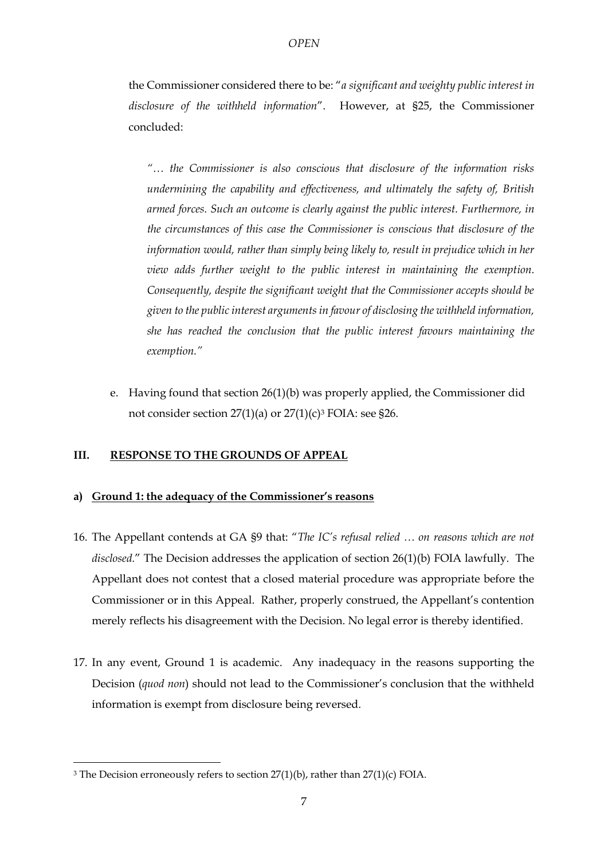the Commissioner considered there to be: "*a significant and weighty public interest in disclosure of the withheld information*". However, at §25, the Commissioner concluded:

*"… the Commissioner is also conscious that disclosure of the information risks undermining the capability and effectiveness, and ultimately the safety of, British armed forces. Such an outcome is clearly against the public interest. Furthermore, in the circumstances of this case the Commissioner is conscious that disclosure of the information would, rather than simply being likely to, result in prejudice which in her view adds further weight to the public interest in maintaining the exemption. Consequently, despite the significant weight that the Commissioner accepts should be given to the public interest arguments in favour of disclosing the withheld information, she has reached the conclusion that the public interest favours maintaining the exemption."*

e. Having found that section 26(1)(b) was properly applied, the Commissioner did not consider section  $27(1)(a)$  or  $27(1)(c)<sup>3</sup>$  FOIA: see §26.

## **III. RESPONSE TO THE GROUNDS OF APPEAL**

## **a) Ground 1: the adequacy of the Commissioner's reasons**

- 16. The Appellant contends at GA §9 that: "*The IC's refusal relied … on reasons which are not disclosed.*" The Decision addresses the application of section 26(1)(b) FOIA lawfully. The Appellant does not contest that a closed material procedure was appropriate before the Commissioner or in this Appeal. Rather, properly construed, the Appellant's contention merely reflects his disagreement with the Decision. No legal error is thereby identified.
- 17. In any event, Ground 1 is academic. Any inadequacy in the reasons supporting the Decision (*quod non*) should not lead to the Commissioner's conclusion that the withheld information is exempt from disclosure being reversed.

<u>.</u>

<sup>&</sup>lt;sup>3</sup> The Decision erroneously refers to section  $27(1)(b)$ , rather than  $27(1)(c)$  FOIA.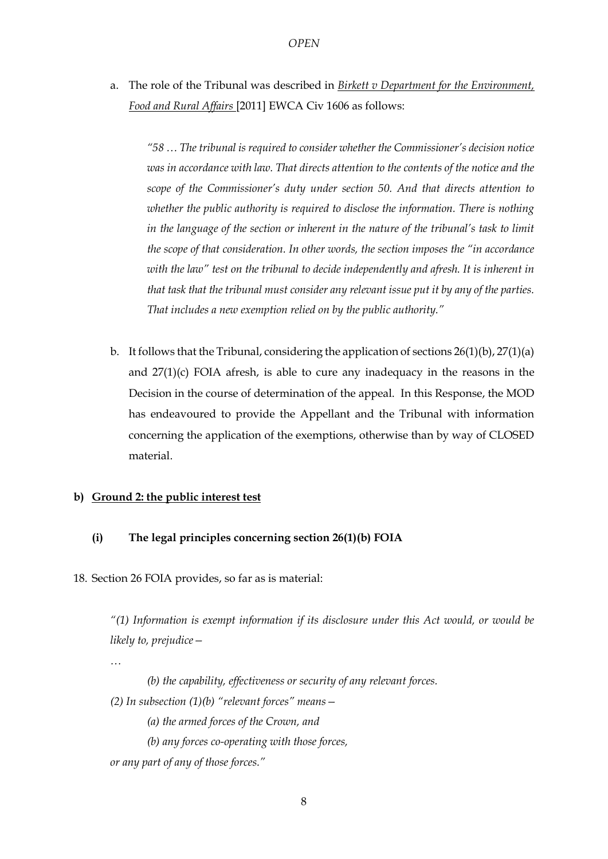a. The role of the Tribunal was described in *Birkett v Department for the Environment, Food and Rural Affairs* [2011] EWCA Civ 1606 as follows:

*"58 … The tribunal is required to consider whether the Commissioner's decision notice was in accordance with law. That directs attention to the contents of the notice and the scope of the Commissioner's duty under section 50. And that directs attention to whether the public authority is required to disclose the information. There is nothing in the language of the section or inherent in the nature of the tribunal's task to limit the scope of that consideration. In other words, the section imposes the "in accordance with the law" test on the tribunal to decide independently and afresh. It is inherent in that task that the tribunal must consider any relevant issue put it by any of the parties. That includes a new exemption relied on by the public authority."*

b. It follows that the Tribunal, considering the application of sections  $26(1)(b)$ ,  $27(1)(a)$ and 27(1)(c) FOIA afresh, is able to cure any inadequacy in the reasons in the Decision in the course of determination of the appeal. In this Response, the MOD has endeavoured to provide the Appellant and the Tribunal with information concerning the application of the exemptions, otherwise than by way of CLOSED material.

#### **b) Ground 2: the public interest test**

#### **(i) The legal principles concerning section 26(1)(b) FOIA**

18. Section 26 FOIA provides, so far as is material:

*"(1) Information is exempt information if its disclosure under this Act would, or would be likely to, prejudice—*

*…*

*(b) the capability, effectiveness or security of any relevant forces. (2) In subsection (1)(b) "relevant forces" means— (a) the armed forces of the Crown, and (b) any forces co-operating with those forces,*

*or any part of any of those forces."*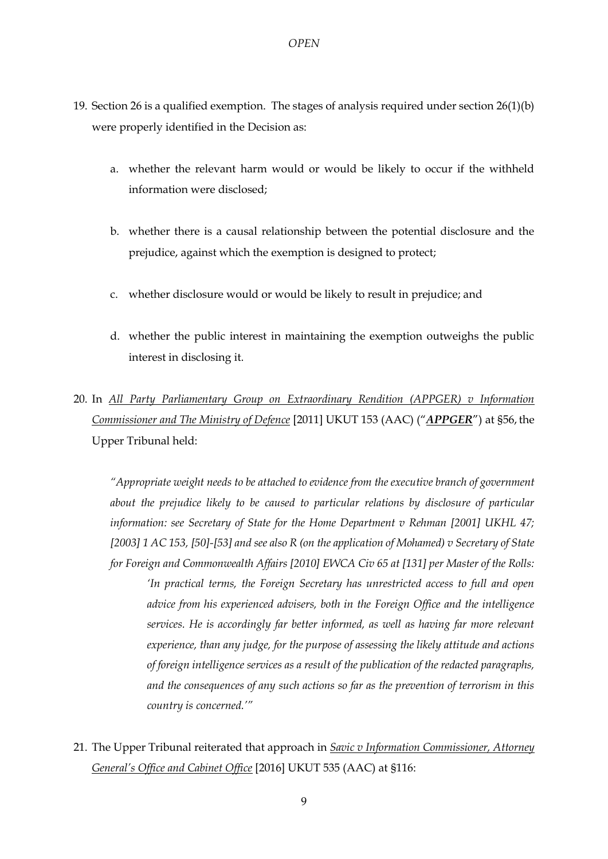- 19. Section 26 is a qualified exemption. The stages of analysis required under section 26(1)(b) were properly identified in the Decision as:
	- a. whether the relevant harm would or would be likely to occur if the withheld information were disclosed;
	- b. whether there is a causal relationship between the potential disclosure and the prejudice, against which the exemption is designed to protect;
	- c. whether disclosure would or would be likely to result in prejudice; and
	- d. whether the public interest in maintaining the exemption outweighs the public interest in disclosing it.
- <span id="page-8-0"></span>20. In *All Party Parliamentary Group on Extraordinary Rendition (APPGER) v Information Commissioner and The Ministry of Defence* [2011] UKUT 153 (AAC) ("*APPGER*") at §56, the Upper Tribunal held:

*"Appropriate weight needs to be attached to evidence from the executive branch of government about the prejudice likely to be caused to particular relations by disclosure of particular information: see Secretary of State for the Home Department v Rehman [2001] UKHL 47; [2003] 1 AC 153, [50]-[53] and see also R (on the application of Mohamed) v Secretary of State for Foreign and Commonwealth Affairs [2010] EWCA Civ 65 at [131] per Master of the Rolls: 'In practical terms, the Foreign Secretary has unrestricted access to full and open advice from his experienced advisers, both in the Foreign Office and the intelligence services. He is accordingly far better informed, as well as having far more relevant experience, than any judge, for the purpose of assessing the likely attitude and actions of foreign intelligence services as a result of the publication of the redacted paragraphs,* 

*and the consequences of any such actions so far as the prevention of terrorism in this country is concerned.'"*

<span id="page-8-1"></span>21. The Upper Tribunal reiterated that approach in *Savic v Information Commissioner, Attorney General's Office and Cabinet Office* [2016] UKUT 535 (AAC) at §116: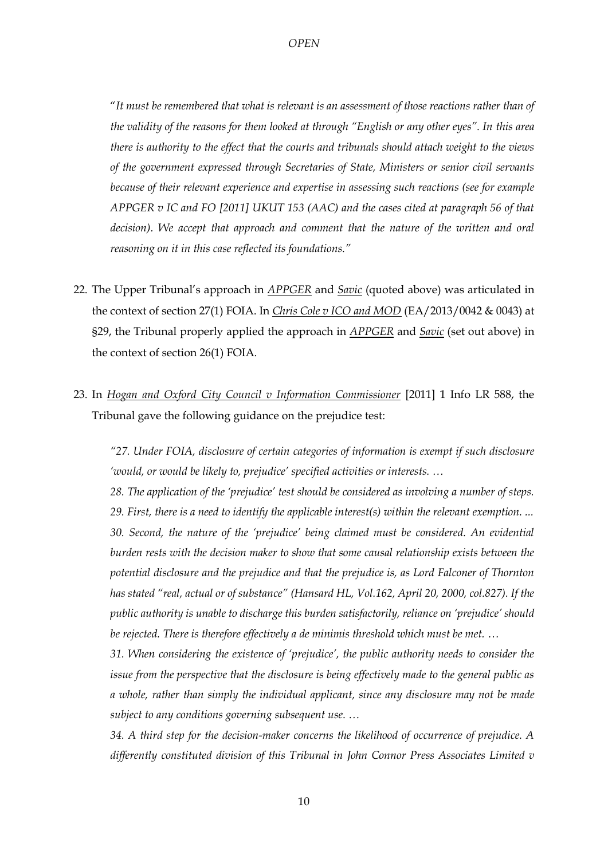"*It must be remembered that what is relevant is an assessment of those reactions rather than of the validity of the reasons for them looked at through "English or any other eyes". In this area there is authority to the effect that the courts and tribunals should attach weight to the views of the government expressed through Secretaries of State, Ministers or senior civil servants because of their relevant experience and expertise in assessing such reactions (see for example APPGER v IC and FO [2011] UKUT 153 (AAC) and the cases cited at paragraph 56 of that*  decision). We accept that approach and comment that the nature of the written and oral *reasoning on it in this case reflected its foundations."*

- 22. The Upper Tribunal's approach in *APPGER* and *Savic* (quoted above) was articulated in the context of section 27(1) FOIA. In *Chris Cole v ICO and MOD* (EA/2013/0042 & 0043) at §29, the Tribunal properly applied the approach in *APPGER* and *Savic* (set out above) in the context of section 26(1) FOIA.
- <span id="page-9-0"></span>23. In *Hogan and Oxford City Council v Information Commissioner* [2011] 1 Info LR 588, the Tribunal gave the following guidance on the prejudice test:

*"27. Under FOIA, disclosure of certain categories of information is exempt if such disclosure 'would, or would be likely to, prejudice' specified activities or interests. …*

*28. The application of the 'prejudice' test should be considered as involving a number of steps. 29. First, there is a need to identify the applicable interest(s) within the relevant exemption. ... 30. Second, the nature of the 'prejudice' being claimed must be considered. An evidential burden rests with the decision maker to show that some causal relationship exists between the potential disclosure and the prejudice and that the prejudice is, as Lord Falconer of Thornton has stated "real, actual or of substance" (Hansard HL, Vol.162, April 20, 2000, col.827). If the public authority is unable to discharge this burden satisfactorily, reliance on 'prejudice' should be rejected. There is therefore effectively a de minimis threshold which must be met. …*

*31. When considering the existence of 'prejudice', the public authority needs to consider the issue from the perspective that the disclosure is being effectively made to the general public as a whole, rather than simply the individual applicant, since any disclosure may not be made subject to any conditions governing subsequent use. …*

*34. A third step for the decision-maker concerns the likelihood of occurrence of prejudice. A differently constituted division of this Tribunal in John Connor Press Associates Limited v*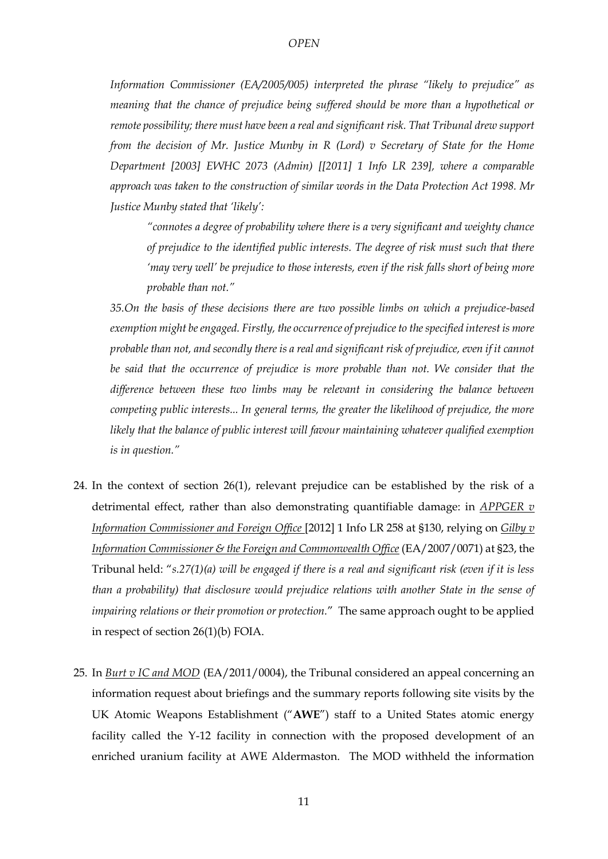*Information Commissioner (EA/2005/005) interpreted the phrase "likely to prejudice" as meaning that the chance of prejudice being suffered should be more than a hypothetical or remote possibility; there must have been a real and significant risk. That Tribunal drew support from the decision of Mr. Justice Munby in R (Lord) v Secretary of State for the Home Department [2003] EWHC 2073 (Admin) [[2011] 1 Info LR 239], where a comparable approach was taken to the construction of similar words in the Data Protection Act 1998. Mr Justice Munby stated that 'likely':* 

*"connotes a degree of probability where there is a very significant and weighty chance of prejudice to the identified public interests. The degree of risk must such that there 'may very well' be prejudice to those interests, even if the risk falls short of being more probable than not."* 

*35.On the basis of these decisions there are two possible limbs on which a prejudice-based exemption might be engaged. Firstly, the occurrence of prejudice to the specified interest is more probable than not, and secondly there is a real and significant risk of prejudice, even if it cannot be said that the occurrence of prejudice is more probable than not. We consider that the difference between these two limbs may be relevant in considering the balance between competing public interests... In general terms, the greater the likelihood of prejudice, the more likely that the balance of public interest will favour maintaining whatever qualified exemption is in question."*

- 24. In the context of section 26(1), relevant prejudice can be established by the risk of a detrimental effect, rather than also demonstrating quantifiable damage: in *APPGER v Information Commissioner and Foreign Office* [2012] 1 Info LR 258 at §130, relying on *Gilby v Information Commissioner & the Foreign and Commonwealth Office* (EA/2007/0071) at §23, the Tribunal held: "*s.27(1)(a) will be engaged if there is a real and significant risk (even if it is less than a probability) that disclosure would prejudice relations with another State in the sense of impairing relations or their promotion or protection.*" The same approach ought to be applied in respect of section 26(1)(b) FOIA.
- <span id="page-10-0"></span>25. In *Burt v IC and MOD* (EA/2011/0004), the Tribunal considered an appeal concerning an information request about briefings and the summary reports following site visits by the UK Atomic Weapons Establishment ("**AWE**") staff to a United States atomic energy facility called the Y-12 facility in connection with the proposed development of an enriched uranium facility at AWE Aldermaston. The MOD withheld the information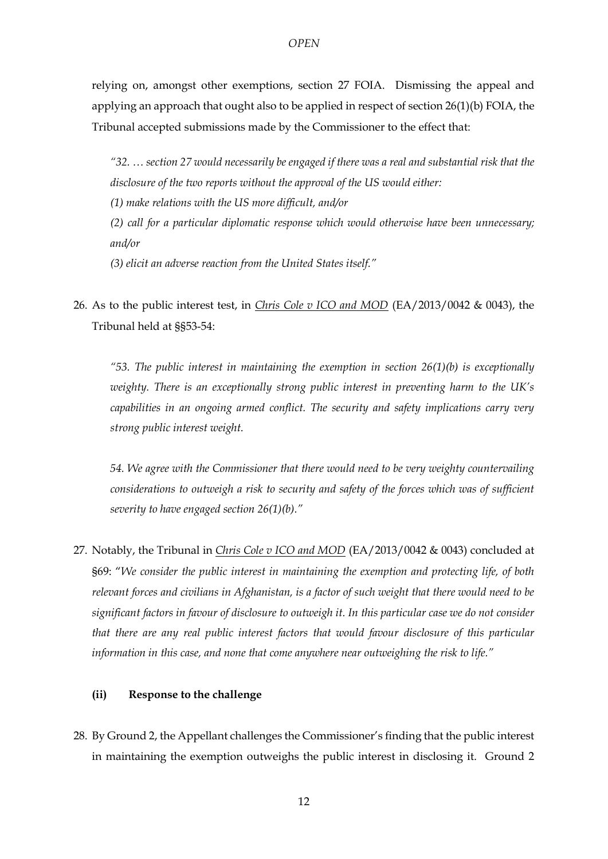relying on, amongst other exemptions, section 27 FOIA. Dismissing the appeal and applying an approach that ought also to be applied in respect of section 26(1)(b) FOIA, the Tribunal accepted submissions made by the Commissioner to the effect that:

*"32. … section 27 would necessarily be engaged if there was a real and substantial risk that the disclosure of the two reports without the approval of the US would either:* 

*(1) make relations with the US more difficult, and/or* 

*(2) call for a particular diplomatic response which would otherwise have been unnecessary; and/or* 

*(3) elicit an adverse reaction from the United States itself."*

26. As to the public interest test, in *Chris Cole v ICO and MOD* (EA/2013/0042 & 0043), the Tribunal held at §§53-54:

*"53. The public interest in maintaining the exemption in section 26(1)(b) is exceptionally weighty. There is an exceptionally strong public interest in preventing harm to the UK's capabilities in an ongoing armed conflict. The security and safety implications carry very strong public interest weight.*

*54. We agree with the Commissioner that there would need to be very weighty countervailing considerations to outweigh a risk to security and safety of the forces which was of sufficient severity to have engaged section 26(1)(b)."*

27. Notably, the Tribunal in *Chris Cole v ICO and MOD* (EA/2013/0042 & 0043) concluded at §69: "*We consider the public interest in maintaining the exemption and protecting life, of both relevant forces and civilians in Afghanistan, is a factor of such weight that there would need to be significant factors in favour of disclosure to outweigh it. In this particular case we do not consider that there are any real public interest factors that would favour disclosure of this particular information in this case, and none that come anywhere near outweighing the risk to life."*

## **(ii) Response to the challenge**

28. By Ground 2, the Appellant challenges the Commissioner's finding that the public interest in maintaining the exemption outweighs the public interest in disclosing it. Ground 2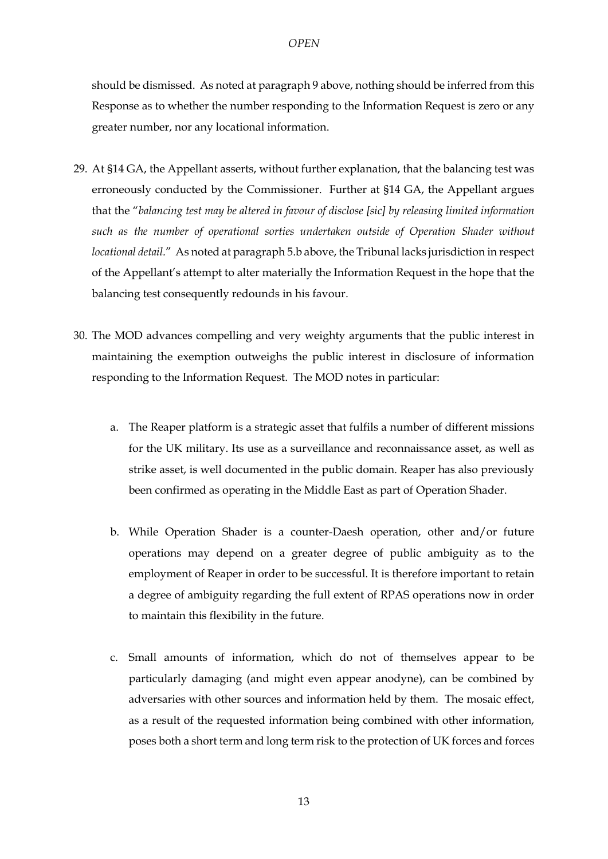should be dismissed. As noted at paragraph [9](#page-3-0) above, nothing should be inferred from this Response as to whether the number responding to the Information Request is zero or any greater number, nor any locational information.

- 29. At §14 GA, the Appellant asserts, without further explanation, that the balancing test was erroneously conducted by the Commissioner. Further at §14 GA, the Appellant argues that the "*balancing test may be altered in favour of disclose [sic] by releasing limited information such as the number of operational sorties undertaken outside of Operation Shader without locational detail.*" As noted at paragrap[h 5.b](#page-2-0) above, the Tribunal lacks jurisdiction in respect of the Appellant's attempt to alter materially the Information Request in the hope that the balancing test consequently redounds in his favour.
- 30. The MOD advances compelling and very weighty arguments that the public interest in maintaining the exemption outweighs the public interest in disclosure of information responding to the Information Request. The MOD notes in particular:
	- a. The Reaper platform is a strategic asset that fulfils a number of different missions for the UK military. Its use as a surveillance and reconnaissance asset, as well as strike asset, is well documented in the public domain. Reaper has also previously been confirmed as operating in the Middle East as part of Operation Shader.
	- b. While Operation Shader is a counter-Daesh operation, other and/or future operations may depend on a greater degree of public ambiguity as to the employment of Reaper in order to be successful. It is therefore important to retain a degree of ambiguity regarding the full extent of RPAS operations now in order to maintain this flexibility in the future.
	- c. Small amounts of information, which do not of themselves appear to be particularly damaging (and might even appear anodyne), can be combined by adversaries with other sources and information held by them. The mosaic effect, as a result of the requested information being combined with other information, poses both a short term and long term risk to the protection of UK forces and forces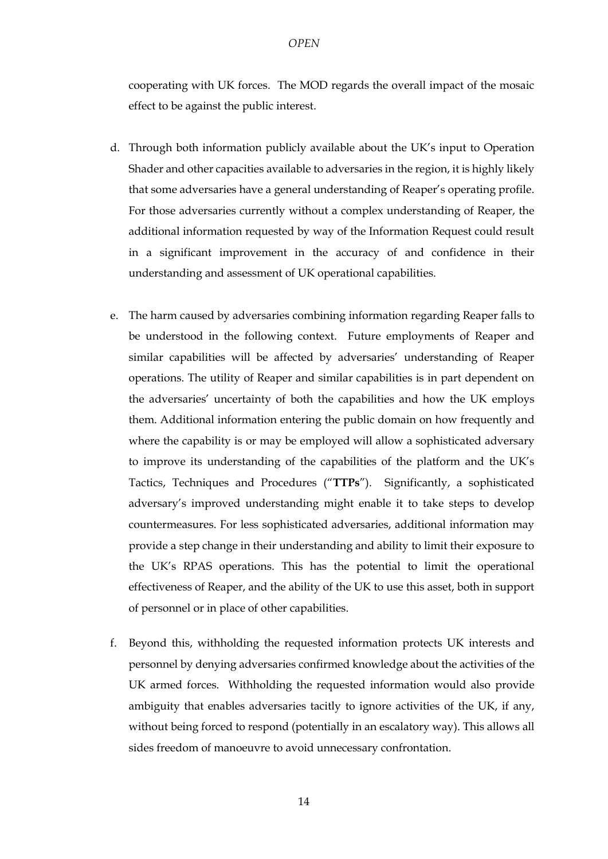cooperating with UK forces. The MOD regards the overall impact of the mosaic effect to be against the public interest.

- d. Through both information publicly available about the UK's input to Operation Shader and other capacities available to adversaries in the region, it is highly likely that some adversaries have a general understanding of Reaper's operating profile. For those adversaries currently without a complex understanding of Reaper, the additional information requested by way of the Information Request could result in a significant improvement in the accuracy of and confidence in their understanding and assessment of UK operational capabilities.
- e. The harm caused by adversaries combining information regarding Reaper falls to be understood in the following context. Future employments of Reaper and similar capabilities will be affected by adversaries' understanding of Reaper operations. The utility of Reaper and similar capabilities is in part dependent on the adversaries' uncertainty of both the capabilities and how the UK employs them. Additional information entering the public domain on how frequently and where the capability is or may be employed will allow a sophisticated adversary to improve its understanding of the capabilities of the platform and the UK's Tactics, Techniques and Procedures ("**TTPs**"). Significantly, a sophisticated adversary's improved understanding might enable it to take steps to develop countermeasures. For less sophisticated adversaries, additional information may provide a step change in their understanding and ability to limit their exposure to the UK's RPAS operations. This has the potential to limit the operational effectiveness of Reaper, and the ability of the UK to use this asset, both in support of personnel or in place of other capabilities.
- f. Beyond this, withholding the requested information protects UK interests and personnel by denying adversaries confirmed knowledge about the activities of the UK armed forces. Withholding the requested information would also provide ambiguity that enables adversaries tacitly to ignore activities of the UK, if any, without being forced to respond (potentially in an escalatory way). This allows all sides freedom of manoeuvre to avoid unnecessary confrontation.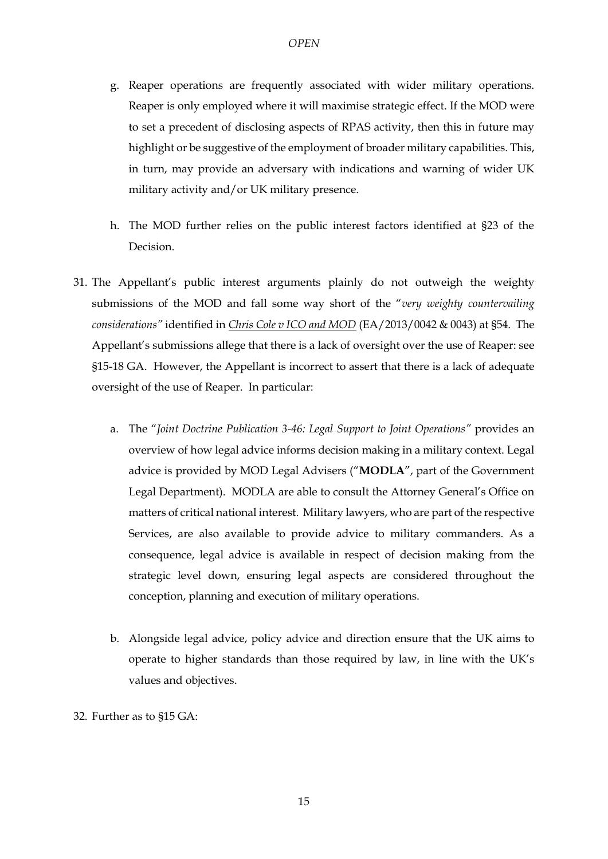- g. Reaper operations are frequently associated with wider military operations. Reaper is only employed where it will maximise strategic effect. If the MOD were to set a precedent of disclosing aspects of RPAS activity, then this in future may highlight or be suggestive of the employment of broader military capabilities. This, in turn, may provide an adversary with indications and warning of wider UK military activity and/or UK military presence.
- h. The MOD further relies on the public interest factors identified at §23 of the Decision.
- 31. The Appellant's public interest arguments plainly do not outweigh the weighty submissions of the MOD and fall some way short of the "*very weighty countervailing considerations"* identified in *Chris Cole v ICO and MOD* (EA/2013/0042 & 0043) at §54. The Appellant's submissions allege that there is a lack of oversight over the use of Reaper: see §15-18 GA. However, the Appellant is incorrect to assert that there is a lack of adequate oversight of the use of Reaper. In particular:
	- a. The "*Joint Doctrine Publication 3-46: Legal Support to Joint Operations"* provides an overview of how legal advice informs decision making in a military context. Legal advice is provided by MOD Legal Advisers ("**MODLA**", part of the Government Legal Department). MODLA are able to consult the Attorney General's Office on matters of critical national interest. Military lawyers, who are part of the respective Services, are also available to provide advice to military commanders. As a consequence, legal advice is available in respect of decision making from the strategic level down, ensuring legal aspects are considered throughout the conception, planning and execution of military operations.
	- b. Alongside legal advice, policy advice and direction ensure that the UK aims to operate to higher standards than those required by law, in line with the UK's values and objectives.
- 32. Further as to §15 GA: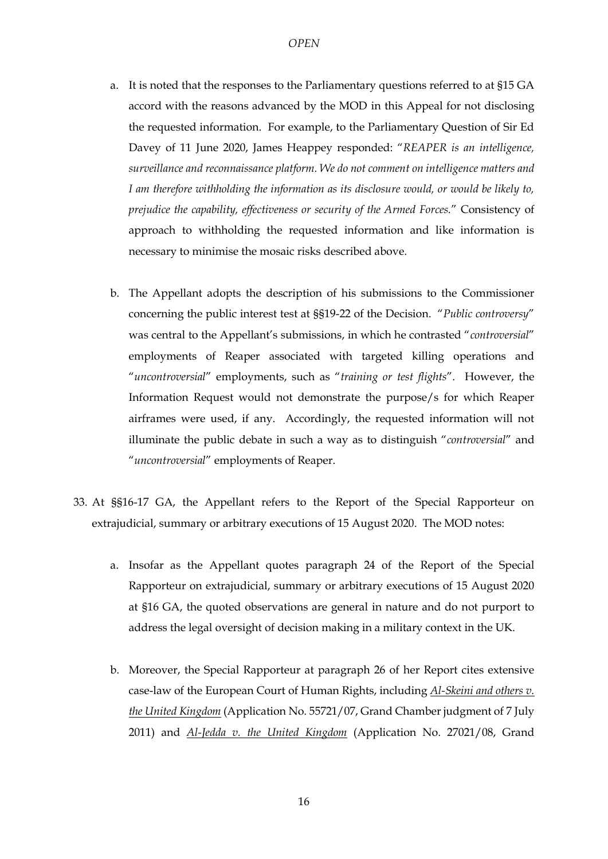- a. It is noted that the responses to the Parliamentary questions referred to at §15 GA accord with the reasons advanced by the MOD in this Appeal for not disclosing the requested information. For example, to the Parliamentary Question of Sir Ed Davey of 11 June 2020, James Heappey responded: "*REAPER is an intelligence, surveillance and reconnaissance platform. We do not comment on intelligence matters and I am therefore withholding the information as its disclosure would, or would be likely to, prejudice the capability, effectiveness or security of the Armed Forces.*" Consistency of approach to withholding the requested information and like information is necessary to minimise the mosaic risks described above.
- b. The Appellant adopts the description of his submissions to the Commissioner concerning the public interest test at §§19-22 of the Decision. "*Public controversy*" was central to the Appellant's submissions, in which he contrasted "*controversial*" employments of Reaper associated with targeted killing operations and "*uncontroversial*" employments, such as "*training or test flights*". However, the Information Request would not demonstrate the purpose/s for which Reaper airframes were used, if any. Accordingly, the requested information will not illuminate the public debate in such a way as to distinguish "*controversial*" and "*uncontroversial*" employments of Reaper.
- 33. At §§16-17 GA, the Appellant refers to the Report of the Special Rapporteur on extrajudicial, summary or arbitrary executions of 15 August 2020. The MOD notes:
	- a. Insofar as the Appellant quotes paragraph 24 of the Report of the Special Rapporteur on extrajudicial, summary or arbitrary executions of 15 August 2020 at §16 GA, the quoted observations are general in nature and do not purport to address the legal oversight of decision making in a military context in the UK.
	- b. Moreover, the Special Rapporteur at paragraph 26 of her Report cites extensive case-law of the European Court of Human Rights, including *Al-Skeini and others v. the United Kingdom* (Application No. 55721/07, Grand Chamber judgment of 7 July 2011) and *Al-Jedda v. the United Kingdom* (Application No. 27021/08, Grand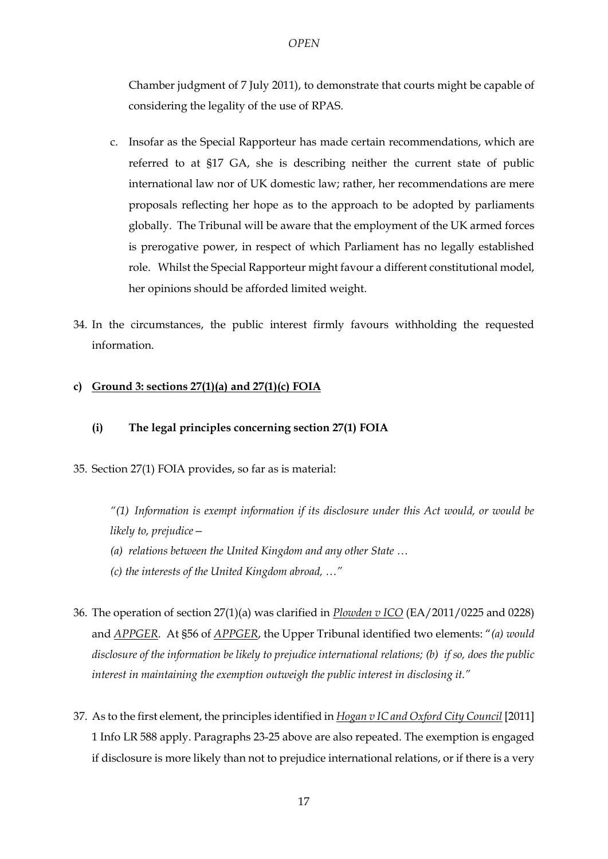Chamber judgment of 7 July 2011), to demonstrate that courts might be capable of considering the legality of the use of RPAS.

- c. Insofar as the Special Rapporteur has made certain recommendations, which are referred to at §17 GA, she is describing neither the current state of public international law nor of UK domestic law; rather, her recommendations are mere proposals reflecting her hope as to the approach to be adopted by parliaments globally. The Tribunal will be aware that the employment of the UK armed forces is prerogative power, in respect of which Parliament has no legally established role. Whilst the Special Rapporteur might favour a different constitutional model, her opinions should be afforded limited weight.
- 34. In the circumstances, the public interest firmly favours withholding the requested information.

## **c) Ground 3: sections 27(1)(a) and 27(1)(c) FOIA**

- **(i) The legal principles concerning section 27(1) FOIA**
- 35. Section 27(1) FOIA provides, so far as is material:

*"(1) Information is exempt information if its disclosure under this Act would, or would be likely to, prejudice—*

- *(a) relations between the United Kingdom and any other State …*
- *(c) the interests of the United Kingdom abroad, …"*
- 36. The operation of section 27(1)(a) was clarified in *Plowden v ICO* (EA/2011/0225 and 0228) and *APPGER*. At §56 of *APPGER*, the Upper Tribunal identified two elements: "*(a) would disclosure of the information be likely to prejudice international relations; (b) if so, does the public interest in maintaining the exemption outweigh the public interest in disclosing it."*
- <span id="page-16-0"></span>37. As to the first element, the principles identified in *Hogan v IC and Oxford City Council* [2011] 1 Info LR 588 apply. Paragraphs [23](#page-9-0)[-25](#page-10-0) above are also repeated. The exemption is engaged if disclosure is more likely than not to prejudice international relations, or if there is a very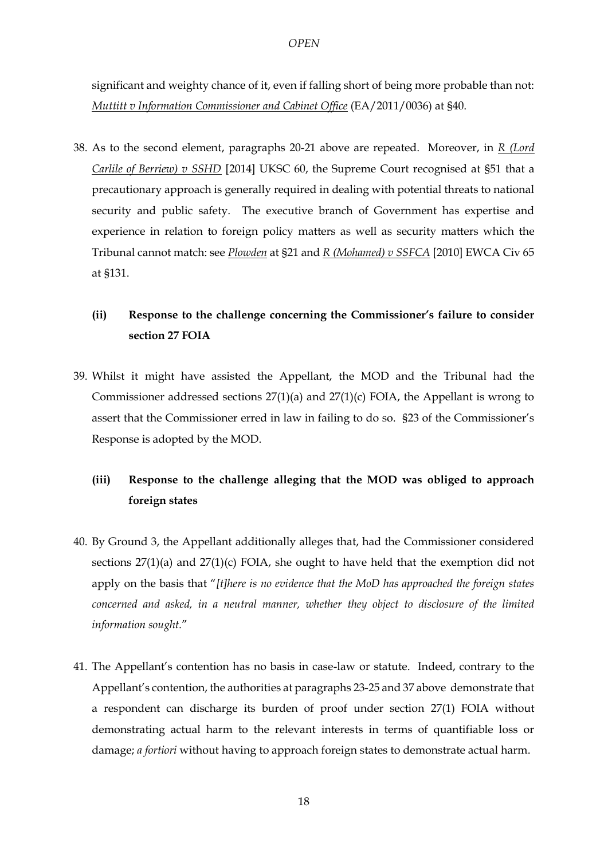significant and weighty chance of it, even if falling short of being more probable than not: *Muttitt v Information Commissioner and Cabinet Office* (EA/2011/0036) at §40.

38. As to the second element, paragraphs [20-](#page-8-0)[21](#page-8-1) above are repeated. Moreover, in *R (Lord Carlile of Berriew) v SSHD* [2014] UKSC 60, the Supreme Court recognised at §51 that a precautionary approach is generally required in dealing with potential threats to national security and public safety. The executive branch of Government has expertise and experience in relation to foreign policy matters as well as security matters which the Tribunal cannot match: see *Plowden* at §21 and *R (Mohamed) v SSFCA* [2010] EWCA Civ 65 at §131.

## **(ii) Response to the challenge concerning the Commissioner's failure to consider section 27 FOIA**

39. Whilst it might have assisted the Appellant, the MOD and the Tribunal had the Commissioner addressed sections 27(1)(a) and 27(1)(c) FOIA, the Appellant is wrong to assert that the Commissioner erred in law in failing to do so. §23 of the Commissioner's Response is adopted by the MOD.

# **(iii) Response to the challenge alleging that the MOD was obliged to approach foreign states**

- 40. By Ground 3, the Appellant additionally alleges that, had the Commissioner considered sections 27(1)(a) and 27(1)(c) FOIA, she ought to have held that the exemption did not apply on the basis that "*[t]here is no evidence that the MoD has approached the foreign states concerned and asked, in a neutral manner, whether they object to disclosure of the limited information sought.*"
- 41. The Appellant's contention has no basis in case-law or statute. Indeed, contrary to the Appellant's contention, the authorities at paragraph[s 23](#page-9-0)[-25](#page-10-0) an[d 37](#page-16-0) above demonstrate that a respondent can discharge its burden of proof under section 27(1) FOIA without demonstrating actual harm to the relevant interests in terms of quantifiable loss or damage; *a fortiori* without having to approach foreign states to demonstrate actual harm.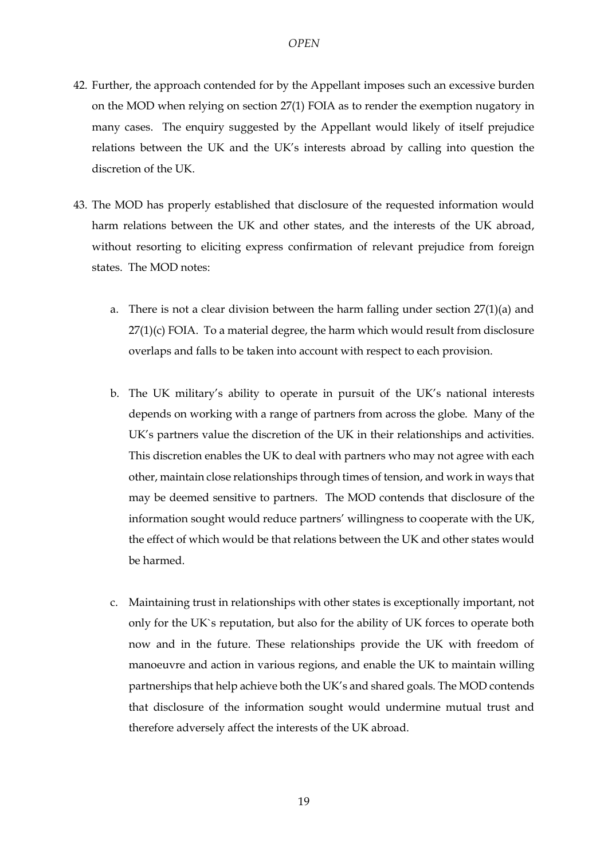- 42. Further, the approach contended for by the Appellant imposes such an excessive burden on the MOD when relying on section 27(1) FOIA as to render the exemption nugatory in many cases. The enquiry suggested by the Appellant would likely of itself prejudice relations between the UK and the UK's interests abroad by calling into question the discretion of the UK.
- 43. The MOD has properly established that disclosure of the requested information would harm relations between the UK and other states, and the interests of the UK abroad, without resorting to eliciting express confirmation of relevant prejudice from foreign states. The MOD notes:
	- a. There is not a clear division between the harm falling under section 27(1)(a) and 27(1)(c) FOIA. To a material degree, the harm which would result from disclosure overlaps and falls to be taken into account with respect to each provision.
	- b. The UK military's ability to operate in pursuit of the UK's national interests depends on working with a range of partners from across the globe. Many of the UK's partners value the discretion of the UK in their relationships and activities. This discretion enables the UK to deal with partners who may not agree with each other, maintain close relationships through times of tension, and work in ways that may be deemed sensitive to partners. The MOD contends that disclosure of the information sought would reduce partners' willingness to cooperate with the UK, the effect of which would be that relations between the UK and other states would be harmed.
	- c. Maintaining trust in relationships with other states is exceptionally important, not only for the UK`s reputation, but also for the ability of UK forces to operate both now and in the future. These relationships provide the UK with freedom of manoeuvre and action in various regions, and enable the UK to maintain willing partnerships that help achieve both the UK's and shared goals. The MOD contends that disclosure of the information sought would undermine mutual trust and therefore adversely affect the interests of the UK abroad.